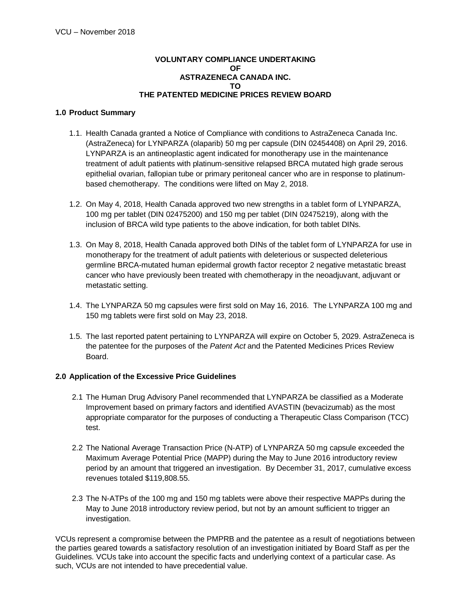### **VOLUNTARY COMPLIANCE UNDERTAKING OF ASTRAZENECA CANADA INC. TO THE PATENTED MEDICINE PRICES REVIEW BOARD**

### **1.0 Product Summary**

- 1.1. Health Canada granted a Notice of Compliance with conditions to AstraZeneca Canada Inc. (AstraZeneca) for LYNPARZA (olaparib) 50 mg per capsule (DIN 02454408) on April 29, 2016. LYNPARZA is an antineoplastic agent indicated for monotherapy use in the maintenance treatment of adult patients with platinum-sensitive relapsed BRCA mutated high grade serous epithelial ovarian, fallopian tube or primary peritoneal cancer who are in response to platinumbased chemotherapy. The conditions were lifted on May 2, 2018.
- 1.2. On May 4, 2018, Health Canada approved two new strengths in a tablet form of LYNPARZA, 100 mg per tablet (DIN 02475200) and 150 mg per tablet (DIN 02475219), along with the inclusion of BRCA wild type patients to the above indication, for both tablet DINs.
- 1.3. On May 8, 2018, Health Canada approved both DINs of the tablet form of LYNPARZA for use in monotherapy for the treatment of adult patients with deleterious or suspected deleterious germline BRCA-mutated human epidermal growth factor receptor 2 negative metastatic breast cancer who have previously been treated with chemotherapy in the neoadjuvant, adjuvant or metastatic setting.
- 1.4. The LYNPARZA 50 mg capsules were first sold on May 16, 2016. The LYNPARZA 100 mg and 150 mg tablets were first sold on May 23, 2018.
- 1.5. The last reported patent pertaining to LYNPARZA will expire on October 5, 2029. AstraZeneca is the patentee for the purposes of the *Patent Act* and the Patented Medicines Prices Review Board.

### **2.0 Application of the Excessive Price Guidelines**

- 2.1 The Human Drug Advisory Panel recommended that LYNPARZA be classified as a Moderate Improvement based on primary factors and identified AVASTIN (bevacizumab) as the most appropriate comparator for the purposes of conducting a Therapeutic Class Comparison (TCC) test.
- 2.2 The National Average Transaction Price (N-ATP) of LYNPARZA 50 mg capsule exceeded the Maximum Average Potential Price (MAPP) during the May to June 2016 introductory review period by an amount that triggered an investigation. By December 31, 2017, cumulative excess revenues totaled \$119,808.55.
- 2.3 The N-ATPs of the 100 mg and 150 mg tablets were above their respective MAPPs during the May to June 2018 introductory review period, but not by an amount sufficient to trigger an investigation.

VCUs represent a compromise between the PMPRB and the patentee as a result of negotiations between the parties geared towards a satisfactory resolution of an investigation initiated by Board Staff as per the Guidelines. VCUs take into account the specific facts and underlying context of a particular case. As such, VCUs are not intended to have precedential value.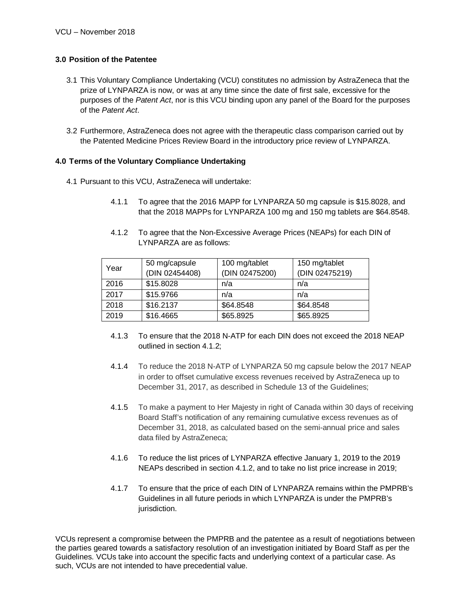# **3.0 Position of the Patentee**

- 3.1 This Voluntary Compliance Undertaking (VCU) constitutes no admission by AstraZeneca that the prize of LYNPARZA is now, or was at any time since the date of first sale, excessive for the purposes of the *Patent Act*, nor is this VCU binding upon any panel of the Board for the purposes of the *Patent Act*.
- 3.2 Furthermore, AstraZeneca does not agree with the therapeutic class comparison carried out by the Patented Medicine Prices Review Board in the introductory price review of LYNPARZA.

# **4.0 Terms of the Voluntary Compliance Undertaking**

- 4.1 Pursuant to this VCU, AstraZeneca will undertake:
	- 4.1.1 To agree that the 2016 MAPP for LYNPARZA 50 mg capsule is \$15.8028, and that the 2018 MAPPs for LYNPARZA 100 mg and 150 mg tablets are \$64.8548.
	- 4.1.2 To agree that the Non-Excessive Average Prices (NEAPs) for each DIN of LYNPARZA are as follows:

| Year | 50 mg/capsule<br>(DIN 02454408) | 100 mg/tablet<br>(DIN 02475200) | 150 mg/tablet<br>(DIN 02475219) |
|------|---------------------------------|---------------------------------|---------------------------------|
| 2016 | \$15.8028                       | n/a                             | n/a                             |
| 2017 | \$15.9766                       | n/a                             | n/a                             |
| 2018 | \$16.2137                       | \$64.8548                       | \$64.8548                       |
| 2019 | \$16.4665                       | \$65.8925                       | \$65.8925                       |

- 4.1.3 To ensure that the 2018 N-ATP for each DIN does not exceed the 2018 NEAP outlined in section 4.1.2;
- 4.1.4 To reduce the 2018 N-ATP of LYNPARZA 50 mg capsule below the 2017 NEAP in order to offset cumulative excess revenues received by AstraZeneca up to December 31, 2017, as described in Schedule 13 of the Guidelines;
- 4.1.5 To make a payment to Her Majesty in right of Canada within 30 days of receiving Board Staff's notification of any remaining cumulative excess revenues as of December 31, 2018, as calculated based on the semi-annual price and sales data filed by AstraZeneca;
- 4.1.6 To reduce the list prices of LYNPARZA effective January 1, 2019 to the 2019 NEAPs described in section 4.1.2, and to take no list price increase in 2019;
- 4.1.7 To ensure that the price of each DIN of LYNPARZA remains within the PMPRB's Guidelines in all future periods in which LYNPARZA is under the PMPRB's jurisdiction.

VCUs represent a compromise between the PMPRB and the patentee as a result of negotiations between the parties geared towards a satisfactory resolution of an investigation initiated by Board Staff as per the Guidelines. VCUs take into account the specific facts and underlying context of a particular case. As such, VCUs are not intended to have precedential value.